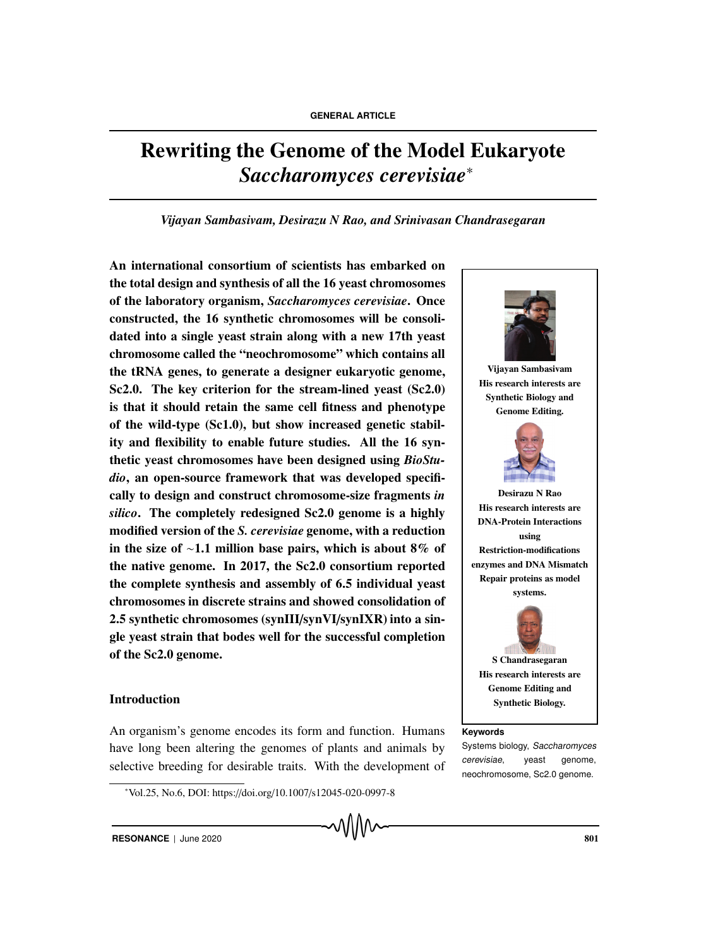# Rewriting the Genome of the Model Eukaryote *Saccharomyces cerevisiae*<sup>∗</sup>

## *Vijayan Sambasivam, Desirazu N Rao, and Srinivasan Chandrasegaran*

An international consortium of scientists has embarked on the total design and synthesis of all the 16 yeast chromosomes of the laboratory organism, *Saccharomyces cerevisiae*. Once constructed, the 16 synthetic chromosomes will be consolidated into a single yeast strain along with a new 17th yeast chromosome called the "neochromosome" which contains all the tRNA genes, to generate a designer eukaryotic genome, Sc2.0. The key criterion for the stream-lined yeast (Sc2.0) is that it should retain the same cell fitness and phenotype of the wild-type (Sc1.0), but show increased genetic stability and flexibility to enable future studies. All the 16 synthetic yeast chromosomes have been designed using *BioStudio*, an open-source framework that was developed specifically to design and construct chromosome-size fragments *in silico*. The completely redesigned Sc2.0 genome is a highly modified version of the *S. cerevisiae* genome, with a reduction in the size of ∼1.1 million base pairs, which is about 8% of the native genome. In 2017, the Sc2.0 consortium reported the complete synthesis and assembly of 6.5 individual yeast chromosomes in discrete strains and showed consolidation of 2.5 synthetic chromosomes (synIII/synVI/synIXR) into a single yeast strain that bodes well for the successful completion of the Sc2.0 genome.

## Introduction

An organism's genome encodes its form and function. Humans **Keywords** have long been altering the genomes of plants and animals by selective breeding for desirable traits. With the development of



<sup>∗</sup> Vol.25, No.6, DOI: https://doi.org/10.1007/s12045-020-0997-8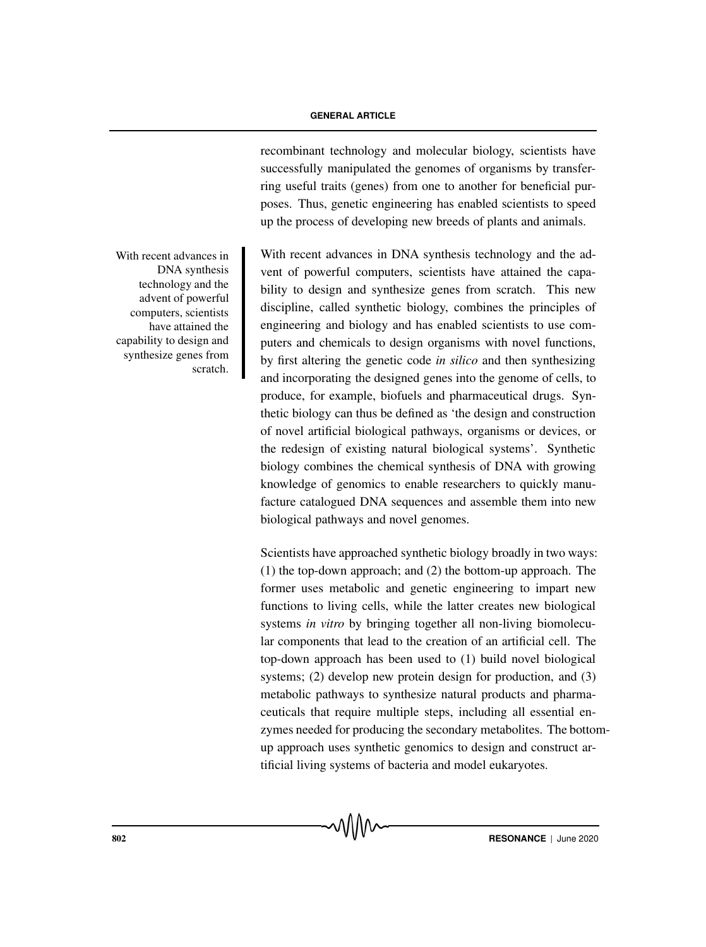recombinant technology and molecular biology, scientists have successfully manipulated the genomes of organisms by transferring useful traits (genes) from one to another for beneficial purposes. Thus, genetic engineering has enabled scientists to speed up the process of developing new breeds of plants and animals.

With recent advances in DNA synthesis technology and the advent of powerful computers, scientists have attained the capability to design and synthesize genes from scratch. This new discipline, called synthetic biology, combines the principles of engineering and biology and has enabled scientists to use computers and chemicals to design organisms with novel functions, by first altering the genetic code *in silico* and then synthesizing and incorporating the designed genes into the genome of cells, to produce, for example, biofuels and pharmaceutical drugs. Synthetic biology can thus be defined as 'the design and construction of novel artificial biological pathways, organisms or devices, or the redesign of existing natural biological systems'. Synthetic biology combines the chemical synthesis of DNA with growing knowledge of genomics to enable researchers to quickly manufacture catalogued DNA sequences and assemble them into new biological pathways and novel genomes.

Scientists have approached synthetic biology broadly in two ways: (1) the top-down approach; and (2) the bottom-up approach. The former uses metabolic and genetic engineering to impart new functions to living cells, while the latter creates new biological systems *in vitro* by bringing together all non-living biomolecular components that lead to the creation of an artificial cell. The top-down approach has been used to (1) build novel biological systems; (2) develop new protein design for production, and (3) metabolic pathways to synthesize natural products and pharmaceuticals that require multiple steps, including all essential enzymes needed for producing the secondary metabolites. The bottomup approach uses synthetic genomics to design and construct artificial living systems of bacteria and model eukaryotes.

With recent advances in DNA synthesis technology and the advent of powerful computers, scientists have attained the capability to design and synthesize genes from scratch.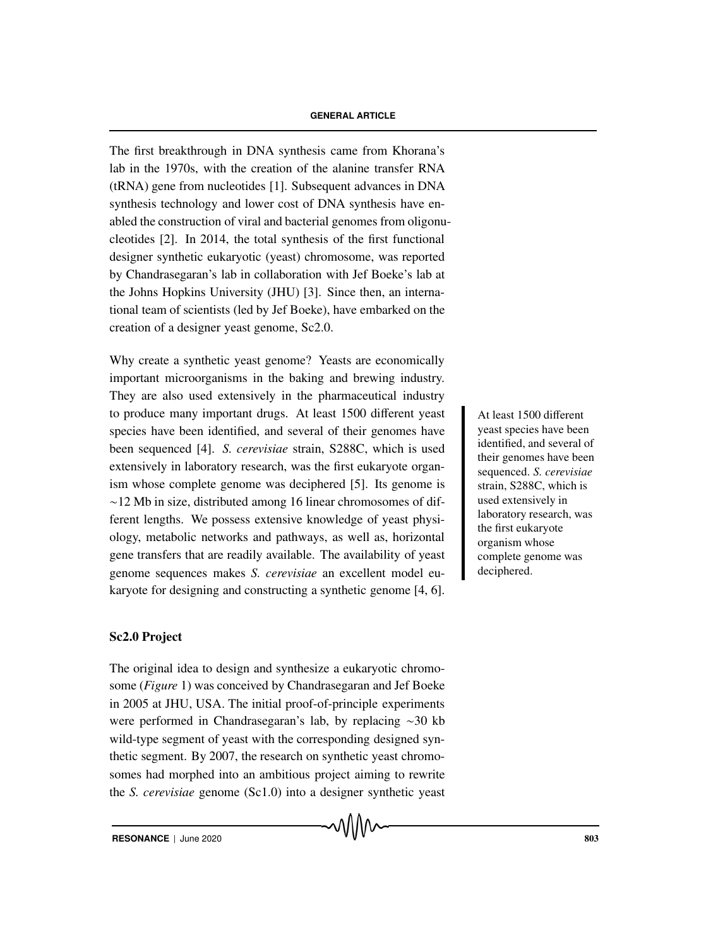The first breakthrough in DNA synthesis came from Khorana's lab in the 1970s, with the creation of the alanine transfer RNA (tRNA) gene from nucleotides [1]. Subsequent advances in DNA synthesis technology and lower cost of DNA synthesis have enabled the construction of viral and bacterial genomes from oligonucleotides [2]. In 2014, the total synthesis of the first functional designer synthetic eukaryotic (yeast) chromosome, was reported by Chandrasegaran's lab in collaboration with Jef Boeke's lab at the Johns Hopkins University (JHU) [3]. Since then, an international team of scientists (led by Jef Boeke), have embarked on the creation of a designer yeast genome, Sc2.0.

Why create a synthetic yeast genome? Yeasts are economically important microorganisms in the baking and brewing industry. They are also used extensively in the pharmaceutical industry to produce many important drugs. At least 1500 different yeast At least 1500 different species have been identified, and several of their genomes have been sequenced [4]. *S. cerevisiae* strain, S288C, which is used extensively in laboratory research, was the first eukaryote organism whose complete genome was deciphered [5]. Its genome is ∼12 Mb in size, distributed among 16 linear chromosomes of different lengths. We possess extensive knowledge of yeast physiology, metabolic networks and pathways, as well as, horizontal gene transfers that are readily available. The availability of yeast genome sequences makes *S. cerevisiae* an excellent model eukaryote for designing and constructing a synthetic genome [4, 6].

## Sc2.0 Project

The original idea to design and synthesize a eukaryotic chromosome (*Figure* 1) was conceived by Chandrasegaran and Jef Boeke in 2005 at JHU, USA. The initial proof-of-principle experiments were performed in Chandrasegaran's lab, by replacing ∼30 kb wild-type segment of yeast with the corresponding designed synthetic segment. By 2007, the research on synthetic yeast chromosomes had morphed into an ambitious project aiming to rewrite the *S. cerevisiae* genome (Sc1.0) into a designer synthetic yeast yeast species have been identified, and several of their genomes have been sequenced. *S. cerevisiae* strain, S288C, which is used extensively in laboratory research, was the first eukaryote organism whose complete genome was deciphered.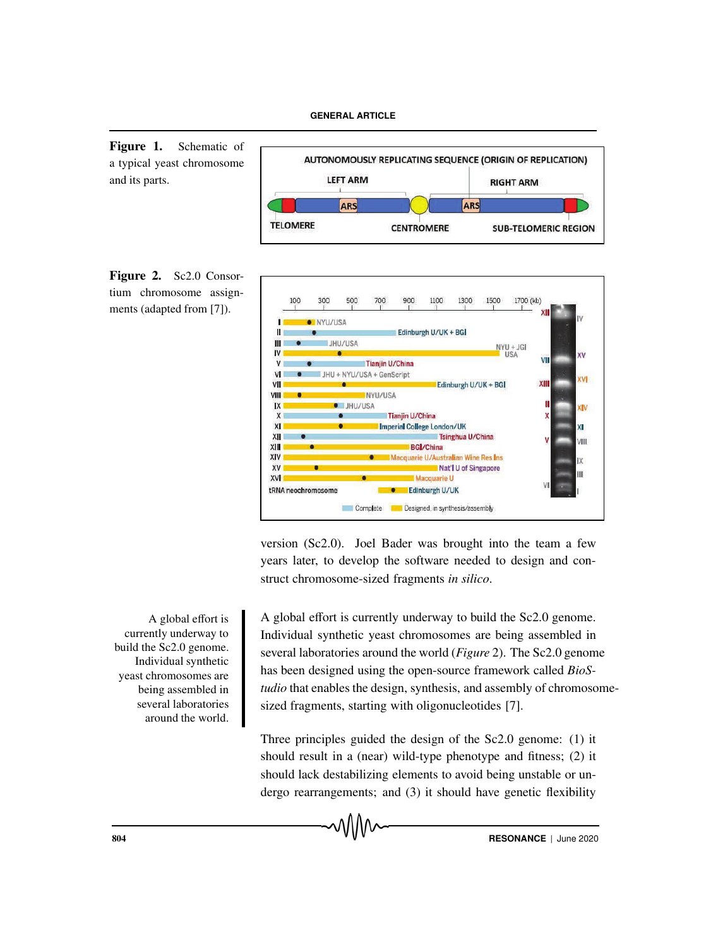Figure 1. Schematic of a typical yeast chromosome and its parts.







version (Sc2.0). Joel Bader was brought into the team a few years later, to develop the software needed to design and construct chromosome-sized fragments *in silico*.

A global effort is currently underway to build the Sc2.0 genome. Individual synthetic yeast chromosomes are being assembled in several laboratories around the world.

A global effort is currently underway to build the Sc2.0 genome. Individual synthetic yeast chromosomes are being assembled in several laboratories around the world (*Figure* 2). The Sc2.0 genome has been designed using the open-source framework called *BioStudio* that enables the design, synthesis, and assembly of chromosomesized fragments, starting with oligonucleotides [7].

Three principles guided the design of the Sc2.0 genome: (1) it should result in a (near) wild-type phenotype and fitness; (2) it should lack destabilizing elements to avoid being unstable or undergo rearrangements; and (3) it should have genetic flexibility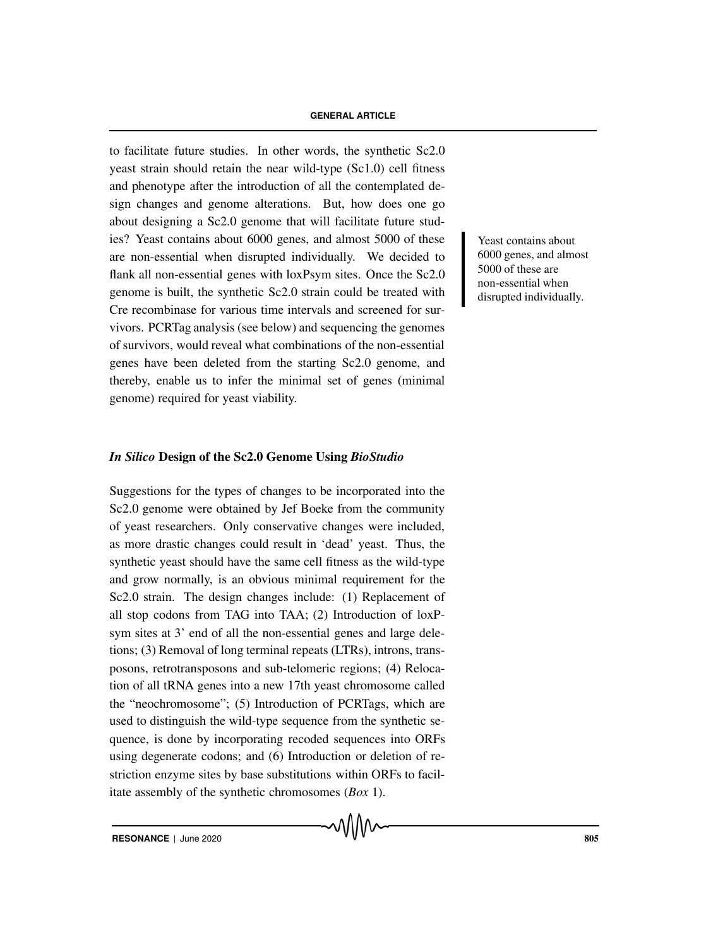to facilitate future studies. In other words, the synthetic Sc2.0 yeast strain should retain the near wild-type (Sc1.0) cell fitness and phenotype after the introduction of all the contemplated design changes and genome alterations. But, how does one go about designing a Sc2.0 genome that will facilitate future studies? Yeast contains about 6000 genes, and almost 5000 of these Yeast contains about are non-essential when disrupted individually. We decided to flank all non-essential genes with loxPsym sites. Once the Sc2.0 genome is built, the synthetic Sc2.0 strain could be treated with Cre recombinase for various time intervals and screened for survivors. PCRTag analysis (see below) and sequencing the genomes of survivors, would reveal what combinations of the non-essential genes have been deleted from the starting Sc2.0 genome, and thereby, enable us to infer the minimal set of genes (minimal genome) required for yeast viability.

## *In Silico* Design of the Sc2.0 Genome Using *BioStudio*

Suggestions for the types of changes to be incorporated into the Sc2.0 genome were obtained by Jef Boeke from the community of yeast researchers. Only conservative changes were included, as more drastic changes could result in 'dead' yeast. Thus, the synthetic yeast should have the same cell fitness as the wild-type and grow normally, is an obvious minimal requirement for the Sc2.0 strain. The design changes include: (1) Replacement of all stop codons from TAG into TAA; (2) Introduction of loxPsym sites at 3' end of all the non-essential genes and large deletions; (3) Removal of long terminal repeats (LTRs), introns, transposons, retrotransposons and sub-telomeric regions; (4) Relocation of all tRNA genes into a new 17th yeast chromosome called the "neochromosome"; (5) Introduction of PCRTags, which are used to distinguish the wild-type sequence from the synthetic sequence, is done by incorporating recoded sequences into ORFs using degenerate codons; and (6) Introduction or deletion of restriction enzyme sites by base substitutions within ORFs to facilitate assembly of the synthetic chromosomes (*Box* 1).

6000 genes, and almost 5000 of these are non-essential when disrupted individually.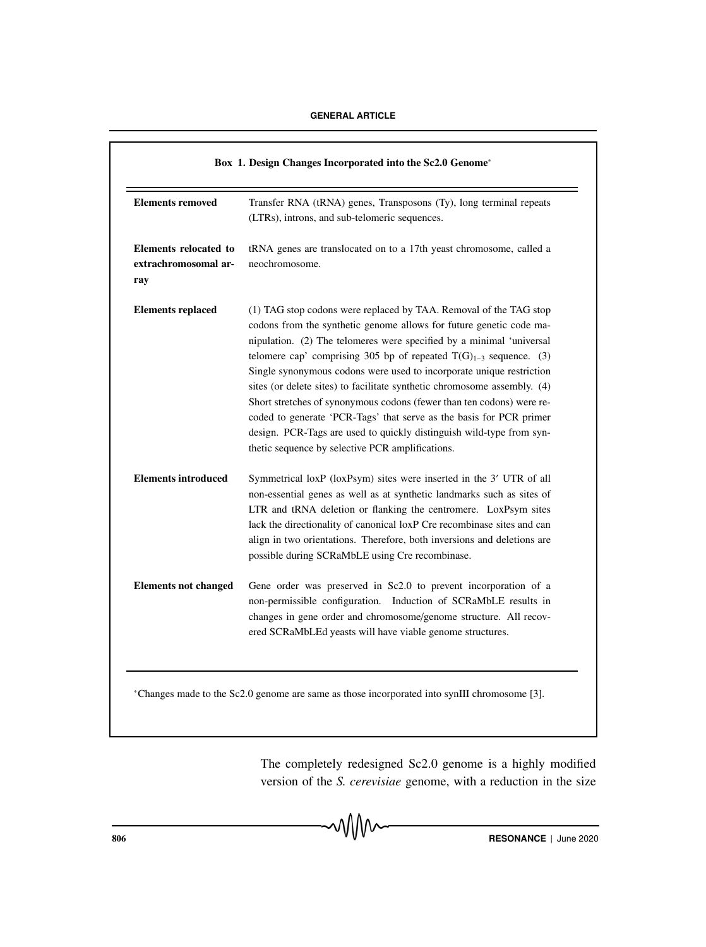| <b>Elements removed</b>                              | Transfer RNA (tRNA) genes, Transposons (Ty), long terminal repeats<br>(LTRs), introns, and sub-telomeric sequences.                                                                                                                                                                                                                                                                                                                                                                                                                                                                                                                                                                                                        |
|------------------------------------------------------|----------------------------------------------------------------------------------------------------------------------------------------------------------------------------------------------------------------------------------------------------------------------------------------------------------------------------------------------------------------------------------------------------------------------------------------------------------------------------------------------------------------------------------------------------------------------------------------------------------------------------------------------------------------------------------------------------------------------------|
| Elements relocated to<br>extrachromosomal ar-<br>ray | tRNA genes are translocated on to a 17th yeast chromosome, called a<br>neochromosome.                                                                                                                                                                                                                                                                                                                                                                                                                                                                                                                                                                                                                                      |
| <b>Elements replaced</b>                             | (1) TAG stop codons were replaced by TAA. Removal of the TAG stop<br>codons from the synthetic genome allows for future genetic code ma-<br>nipulation. (2) The telomeres were specified by a minimal 'universal<br>telomere cap' comprising 305 bp of repeated $T(G)_{1-3}$ sequence. (3)<br>Single synonymous codons were used to incorporate unique restriction<br>sites (or delete sites) to facilitate synthetic chromosome assembly. (4)<br>Short stretches of synonymous codons (fewer than ten codons) were re-<br>coded to generate 'PCR-Tags' that serve as the basis for PCR primer<br>design. PCR-Tags are used to quickly distinguish wild-type from syn-<br>thetic sequence by selective PCR amplifications. |
| <b>Elements introduced</b>                           | Symmetrical loxP (loxPsym) sites were inserted in the 3' UTR of all<br>non-essential genes as well as at synthetic landmarks such as sites of<br>LTR and tRNA deletion or flanking the centromere. LoxPsym sites<br>lack the directionality of canonical loxP Cre recombinase sites and can<br>align in two orientations. Therefore, both inversions and deletions are<br>possible during SCRaMbLE using Cre recombinase.                                                                                                                                                                                                                                                                                                  |
| <b>Elements not changed</b>                          | Gene order was preserved in Sc2.0 to prevent incorporation of a<br>non-permissible configuration.<br>Induction of SCRaMbLE results in<br>changes in gene order and chromosome/genome structure. All recov-<br>ered SCRaMbLEd yeasts will have viable genome structures.                                                                                                                                                                                                                                                                                                                                                                                                                                                    |

<sup>∗</sup>Changes made to the Sc2.0 genome are same as those incorporated into synIII chromosome [3].

The completely redesigned Sc2.0 genome is a highly modified version of the *S. cerevisiae* genome, with a reduction in the size

**806 RESONANCE** | June 2020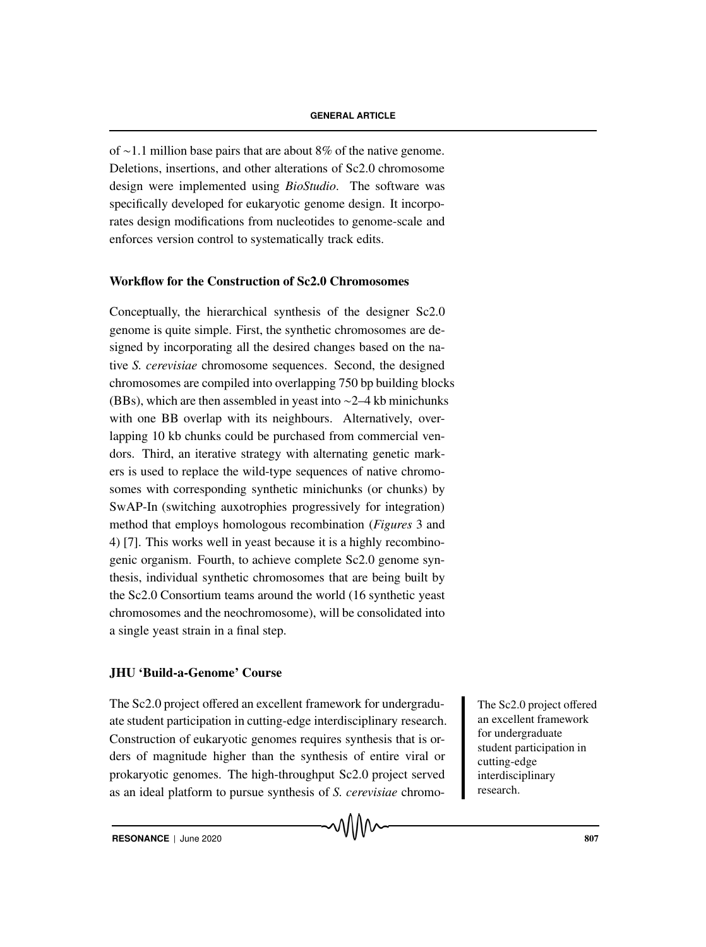of ∼1.1 million base pairs that are about 8% of the native genome. Deletions, insertions, and other alterations of Sc2.0 chromosome design were implemented using *BioStudio*. The software was specifically developed for eukaryotic genome design. It incorporates design modifications from nucleotides to genome-scale and enforces version control to systematically track edits.

## Workflow for the Construction of Sc2.0 Chromosomes

Conceptually, the hierarchical synthesis of the designer Sc2.0 genome is quite simple. First, the synthetic chromosomes are designed by incorporating all the desired changes based on the native *S. cerevisiae* chromosome sequences. Second, the designed chromosomes are compiled into overlapping 750 bp building blocks (BBs), which are then assembled in yeast into ∼2–4 kb minichunks with one BB overlap with its neighbours. Alternatively, overlapping 10 kb chunks could be purchased from commercial vendors. Third, an iterative strategy with alternating genetic markers is used to replace the wild-type sequences of native chromosomes with corresponding synthetic minichunks (or chunks) by SwAP-In (switching auxotrophies progressively for integration) method that employs homologous recombination (*Figures* 3 and 4) [7]. This works well in yeast because it is a highly recombinogenic organism. Fourth, to achieve complete Sc2.0 genome synthesis, individual synthetic chromosomes that are being built by the Sc2.0 Consortium teams around the world (16 synthetic yeast chromosomes and the neochromosome), will be consolidated into a single yeast strain in a final step.

## JHU 'Build-a-Genome' Course

The Sc2.0 project offered an excellent framework for undergradu-<br>The Sc2.0 project offered ate student participation in cutting-edge interdisciplinary research. Construction of eukaryotic genomes requires synthesis that is orders of magnitude higher than the synthesis of entire viral or prokaryotic genomes. The high-throughput Sc2.0 project served as an ideal platform to pursue synthesis of *S. cerevisiae* chromo-

an excellent framework for undergraduate student participation in cutting-edge interdisciplinary research.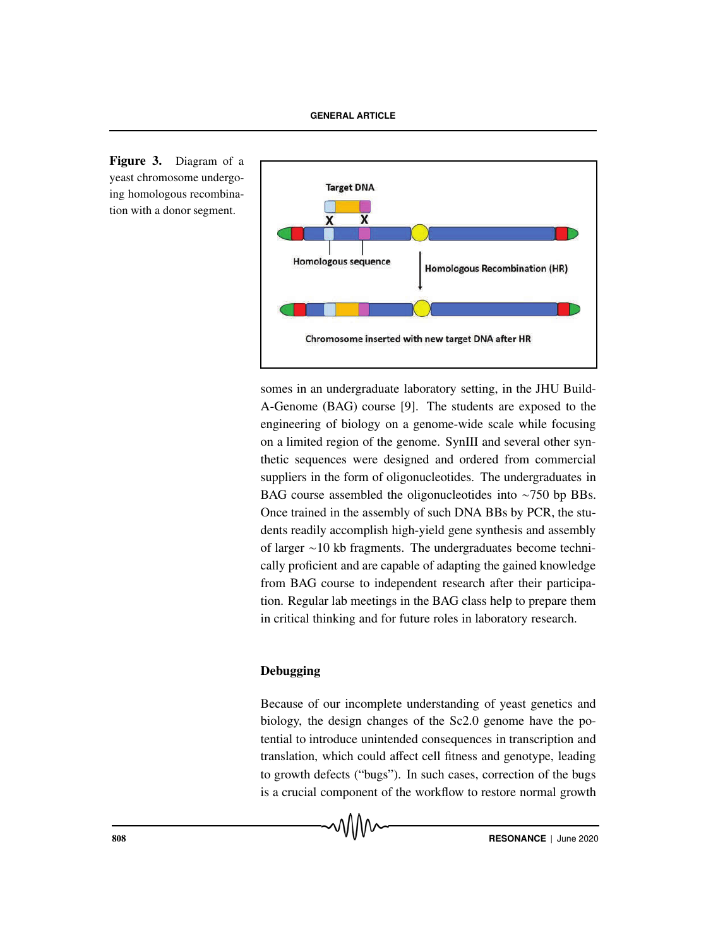

Figure 3. Diagram of a yeast chromosome undergoing homologous recombination with a donor segment.

> somes in an undergraduate laboratory setting, in the JHU Build-A-Genome (BAG) course [9]. The students are exposed to the engineering of biology on a genome-wide scale while focusing on a limited region of the genome. SynIII and several other synthetic sequences were designed and ordered from commercial suppliers in the form of oligonucleotides. The undergraduates in BAG course assembled the oligonucleotides into ∼750 bp BBs. Once trained in the assembly of such DNA BBs by PCR, the students readily accomplish high-yield gene synthesis and assembly of larger ∼10 kb fragments. The undergraduates become technically proficient and are capable of adapting the gained knowledge from BAG course to independent research after their participation. Regular lab meetings in the BAG class help to prepare them in critical thinking and for future roles in laboratory research.

## Debugging

Because of our incomplete understanding of yeast genetics and biology, the design changes of the Sc2.0 genome have the potential to introduce unintended consequences in transcription and translation, which could affect cell fitness and genotype, leading to growth defects ("bugs"). In such cases, correction of the bugs is a crucial component of the workflow to restore normal growth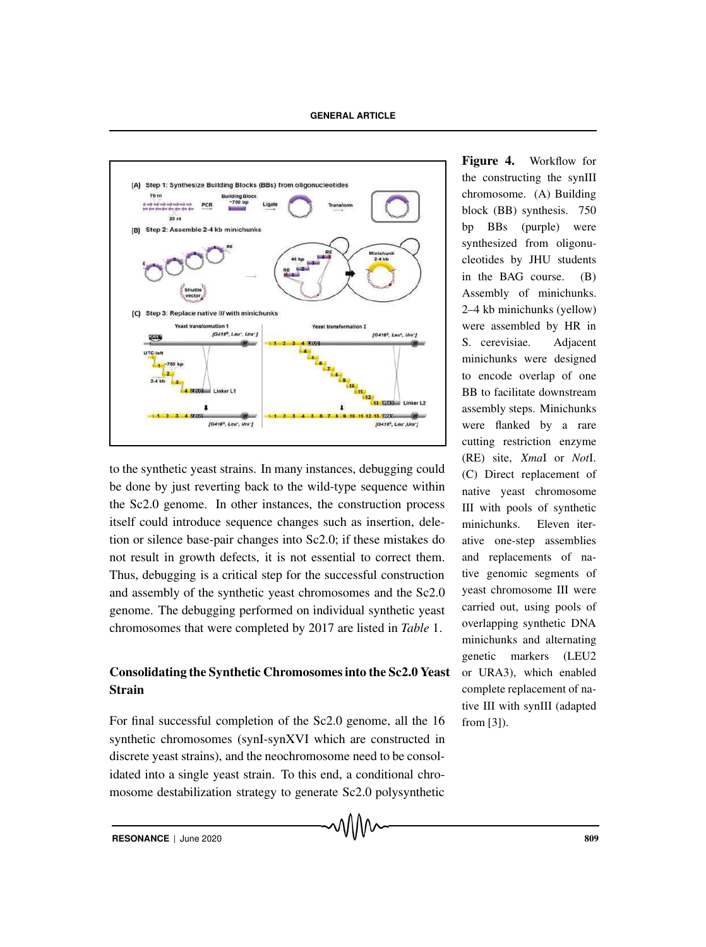

to the synthetic yeast strains. In many instances, debugging could be done by just reverting back to the wild-type sequence within the Sc2.0 genome. In other instances, the construction process itself could introduce sequence changes such as insertion, deletion or silence base-pair changes into Sc2.0; if these mistakes do not result in growth defects, it is not essential to correct them. Thus, debugging is a critical step for the successful construction and assembly of the synthetic yeast chromosomes and the Sc2.0 genome. The debugging performed on individual synthetic yeast chromosomes that were completed by 2017 are listed in *Table* 1.

## Consolidating the Synthetic Chromosomes into the Sc2.0 Yeast Strain

For final successful completion of the Sc2.0 genome, all the 16 synthetic chromosomes (synI-synXVI which are constructed in discrete yeast strains), and the neochromosome need to be consolidated into a single yeast strain. To this end, a conditional chromosome destabilization strategy to generate Sc2.0 polysynthetic

Figure 4. Workflow for the constructing the synIII chromosome. (A) Building block (BB) synthesis. 750 bp BBs (purple) were synthesized from oligonucleotides by JHU students in the BAG course. (B) Assembly of minichunks. 2–4 kb minichunks (yellow) were assembled by HR in S. cerevisiae. Adjacent minichunks were designed to encode overlap of one BB to facilitate downstream assembly steps. Minichunks were flanked by a rare cutting restriction enzyme (RE) site, *Xma*I or *Not*I. (C) Direct replacement of native yeast chromosome III with pools of synthetic minichunks. Eleven iterative one-step assemblies and replacements of native genomic segments of yeast chromosome III were carried out, using pools of overlapping synthetic DNA minichunks and alternating genetic markers (LEU2 or URA3), which enabled complete replacement of native III with synIII (adapted from [3]).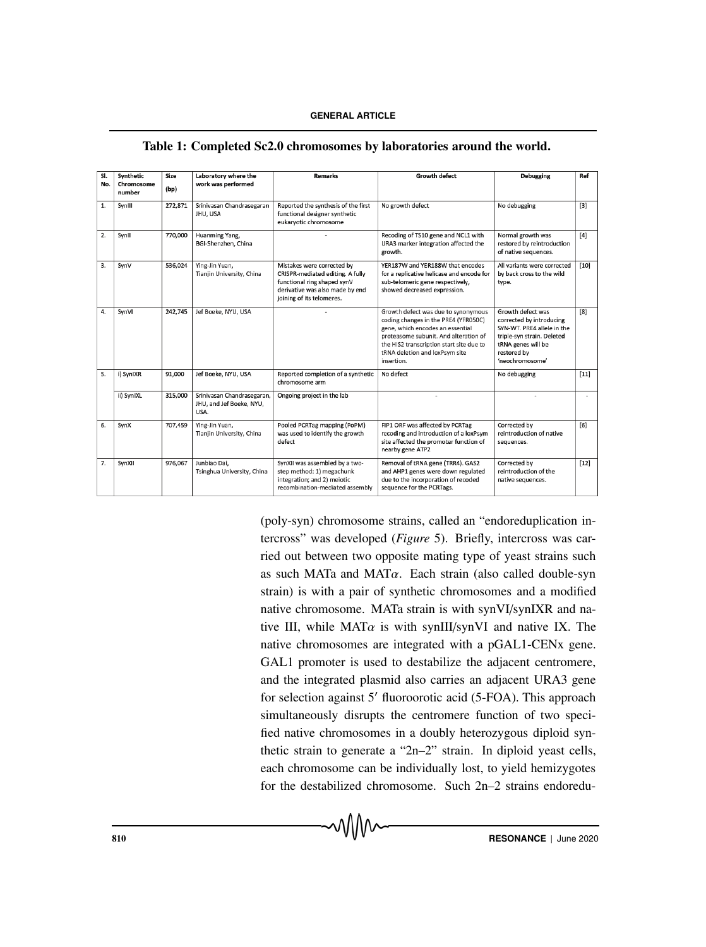| SI.<br>No. | Synthetic<br>Chromosome<br>number | Size<br>(bp) | Laboratory where the<br>work was performed                     | <b>Remarks</b>                                                                                                                                                | <b>Growth defect</b>                                                                                                                                                                                                                                 | <b>Debugging</b>                                                                                                                                                  | Ref    |
|------------|-----------------------------------|--------------|----------------------------------------------------------------|---------------------------------------------------------------------------------------------------------------------------------------------------------------|------------------------------------------------------------------------------------------------------------------------------------------------------------------------------------------------------------------------------------------------------|-------------------------------------------------------------------------------------------------------------------------------------------------------------------|--------|
| 1.         | SynIII                            | 272,871      | Srinivasan Chandrasegaran<br>JHU, USA                          | Reported the synthesis of the first<br>functional designer synthetic<br>eukarvotic chromosome                                                                 | No growth defect                                                                                                                                                                                                                                     | No debugging                                                                                                                                                      | $[3]$  |
| 2.         | SynII                             | 770,000      | Huanming Yang,<br>BGI-Shenzhen, China                          |                                                                                                                                                               | Recoding of TS10 gene and NCL1 with<br>URA3 marker integration affected the<br>growth.                                                                                                                                                               | Normal growth was<br>restored by reintroduction<br>of native sequences.                                                                                           | [4]    |
| 3.         | SynV                              | 536,024      | Ying-Jin Yuan,<br>Tianjin University, China                    | Mistakes were corrected by<br>CRISPR-mediated editing. A fully<br>functional ring shaped synV<br>derivative was also made by end<br>joining of its telomeres. | YER187W and YER188W that encodes<br>for a replicative helicase and encode for<br>sub-telomeric gene respectively,<br>showed decreased expression.                                                                                                    | All variants were corrected<br>by back cross to the wild<br>type.                                                                                                 | $[10]$ |
| 4.         | SynVI                             | 242,745      | Jef Boeke, NYU, USA                                            |                                                                                                                                                               | Growth defect was due to synonymous<br>coding changes in the PRE4 (YFR050C)<br>gene, which encodes an essential<br>proteasome subunit. And alteration of<br>the HIS2 transcription start site due to<br>tRNA deletion and loxPsym site<br>insertion. | Growth defect was<br>corrected by introducing<br>SYN-WT. PRE4 allele in the<br>triple-syn strain. Deleted<br>tRNA genes will be<br>restored by<br>'neochromosome' | [8]    |
| 5.         | i) SynIXR                         | 91,000       | Jef Boeke, NYU, USA                                            | Reported completion of a synthetic<br>chromosome arm                                                                                                          | No defect                                                                                                                                                                                                                                            | No debugging                                                                                                                                                      | $[11]$ |
|            | ii) SynIXL                        | 315,000      | Srinivasan Chandrasegaran,<br>JHU, and Jef Boeke, NYU,<br>USA. | Ongoing project in the lab                                                                                                                                    |                                                                                                                                                                                                                                                      |                                                                                                                                                                   | $\sim$ |
| 6.         | SynX                              | 707,459      | Ying-Jin Yuan,<br>Tianjin University, China                    | Pooled PCRTag mapping (PoPM)<br>was used to identify the growth<br>defect                                                                                     | FIP1 ORF was affected by PCRTag<br>recoding and introduction of a loxPsym<br>site affected the promoter function of<br>nearby gene ATP2                                                                                                              | Corrected by<br>reintroduction of native<br>sequences.                                                                                                            | [6]    |
| 7.         | SynXII                            | 976,067      | Junbiao Dai,<br>Tsinghua University, China                     | SynXII was assembled by a two-<br>step method: 1) megachunk<br>integration; and 2) meiotic<br>recombination-mediated assembly                                 | Removal of tRNA gene (TRR4). GAS2<br>and AHP1 genes were down regulated<br>due to the incorporation of recoded<br>sequence for the PCRTags.                                                                                                          | Corrected by<br>reintroduction of the<br>native sequences.                                                                                                        | $[12]$ |

Table 1: Completed Sc2.0 chromosomes by laboratories around the world.

(poly-syn) chromosome strains, called an "endoreduplication intercross" was developed (*Figure* 5). Briefly, intercross was carried out between two opposite mating type of yeast strains such as such MATa and MAT $\alpha$ . Each strain (also called double-syn strain) is with a pair of synthetic chromosomes and a modified native chromosome. MATa strain is with synVI/synIXR and native III, while  $MAT\alpha$  is with synIII/synVI and native IX. The native chromosomes are integrated with a pGAL1-CENx gene. GAL1 promoter is used to destabilize the adjacent centromere, and the integrated plasmid also carries an adjacent URA3 gene for selection against 5' fluoroorotic acid (5-FOA). This approach simultaneously disrupts the centromere function of two specified native chromosomes in a doubly heterozygous diploid synthetic strain to generate a "2n–2" strain. In diploid yeast cells, each chromosome can be individually lost, to yield hemizygotes for the destabilized chromosome. Such 2n–2 strains endoredu-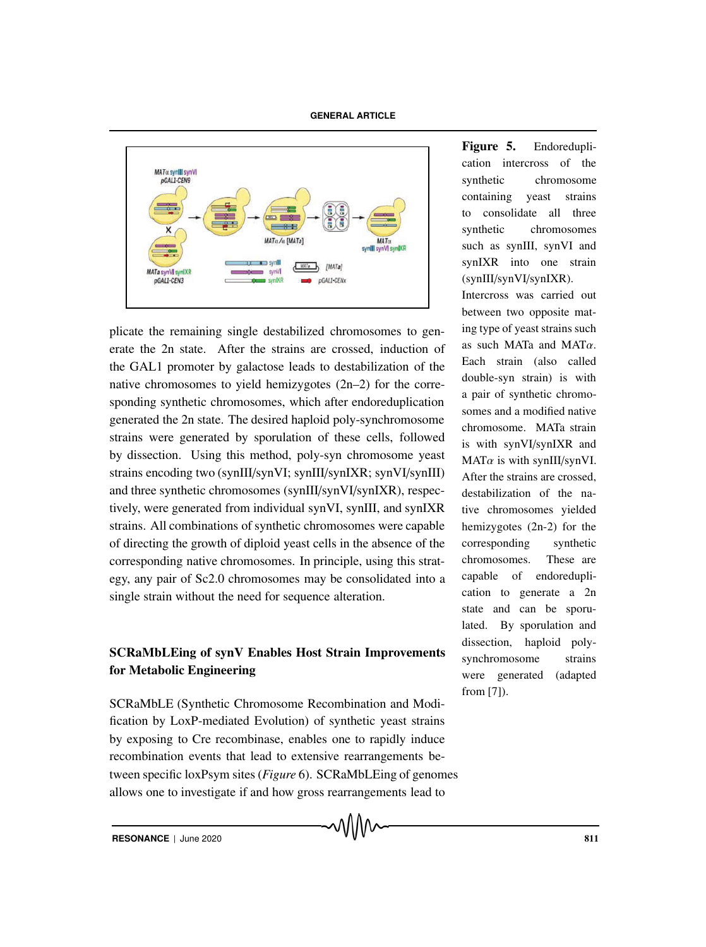

plicate the remaining single destabilized chromosomes to generate the 2n state. After the strains are crossed, induction of the GAL1 promoter by galactose leads to destabilization of the native chromosomes to yield hemizygotes (2n–2) for the corresponding synthetic chromosomes, which after endoreduplication generated the 2n state. The desired haploid poly-synchromosome strains were generated by sporulation of these cells, followed by dissection. Using this method, poly-syn chromosome yeast strains encoding two (synIII/synVI; synIII/synIXR; synVI/synIII) and three synthetic chromosomes (synIII/synVI/synIXR), respectively, were generated from individual synVI, synIII, and synIXR strains. All combinations of synthetic chromosomes were capable of directing the growth of diploid yeast cells in the absence of the corresponding native chromosomes. In principle, using this strategy, any pair of Sc2.0 chromosomes may be consolidated into a single strain without the need for sequence alteration.

# SCRaMbLEing of synV Enables Host Strain Improvements for Metabolic Engineering

SCRaMbLE (Synthetic Chromosome Recombination and Modification by LoxP-mediated Evolution) of synthetic yeast strains by exposing to Cre recombinase, enables one to rapidly induce recombination events that lead to extensive rearrangements between specific loxPsym sites (*Figure* 6). SCRaMbLEing of genomes allows one to investigate if and how gross rearrangements lead to

Figure 5. Endoreduplication intercross of the synthetic chromosome containing yeast strains to consolidate all three synthetic chromosomes such as synIII, synVI and synIXR into one strain (synIII/synVI/synIXR).

Intercross was carried out between two opposite mating type of yeast strains such as such MATa and MATα. Each strain (also called double-syn strain) is with a pair of synthetic chromosomes and a modified native chromosome. MATa strain is with synVI/synIXR and  $MAT\alpha$  is with synIII/synVI. After the strains are crossed, destabilization of the native chromosomes yielded hemizygotes (2n-2) for the corresponding synthetic chromosomes. These are capable of endoreduplication to generate a 2n state and can be sporulated. By sporulation and dissection, haploid polysynchromosome strains were generated (adapted from [7]).

**RESONANCE** | June 2020 811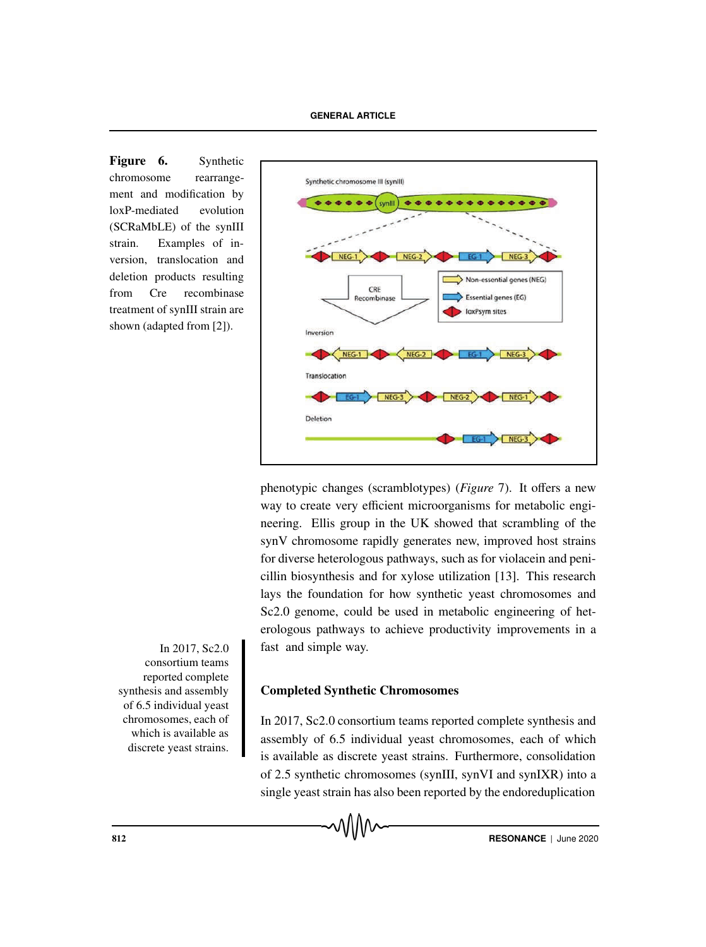Figure 6. Synthetic chromosome rearrangement and modification by loxP-mediated evolution (SCRaMbLE) of the synIII strain. Examples of inversion, translocation and deletion products resulting from Cre recombinase treatment of synIII strain are shown (adapted from [2]).



phenotypic changes (scramblotypes) (*Figure* 7). It offers a new way to create very efficient microorganisms for metabolic engineering. Ellis group in the UK showed that scrambling of the synV chromosome rapidly generates new, improved host strains for diverse heterologous pathways, such as for violacein and penicillin biosynthesis and for xylose utilization [13]. This research lays the foundation for how synthetic yeast chromosomes and Sc2.0 genome, could be used in metabolic engineering of heterologous pathways to achieve productivity improvements in a fast and simple way.

Completed Synthetic Chromosomes

In 2017, Sc2.0 consortium teams reported complete synthesis and assembly of 6.5 individual yeast chromosomes, each of which is available as discrete yeast strains. Furthermore, consolidation of 2.5 synthetic chromosomes (synIII, synVI and synIXR) into a single yeast strain has also been reported by the endoreduplication

In 2017, Sc2.0 consortium teams reported complete synthesis and assembly of 6.5 individual yeast chromosomes, each of which is available as discrete yeast strains.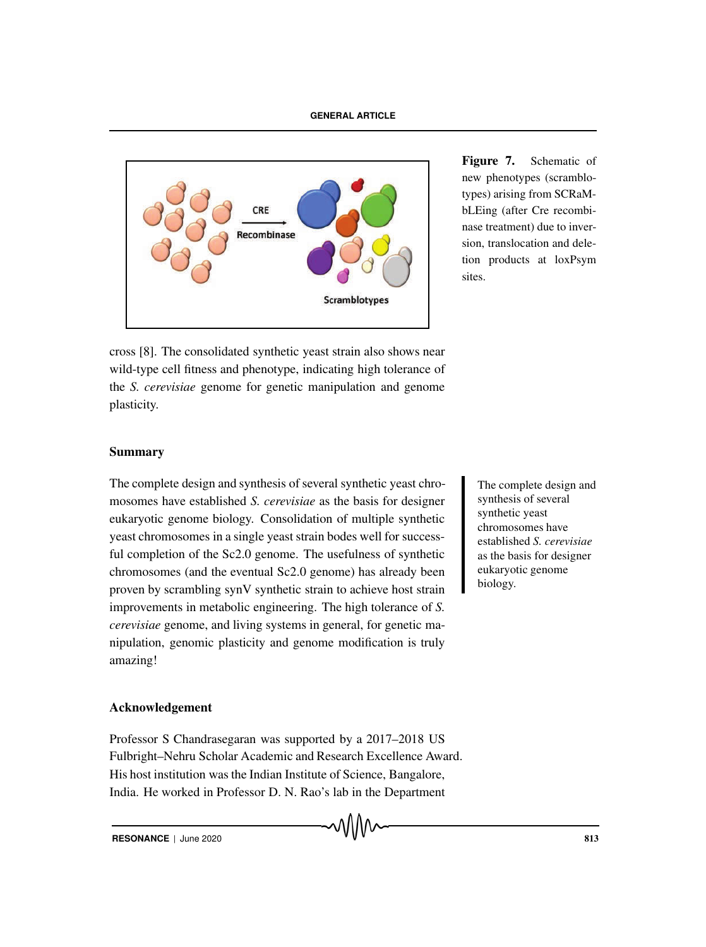

Figure 7. Schematic of new phenotypes (scramblotypes) arising from SCRaMbLEing (after Cre recombinase treatment) due to inversion, translocation and deletion products at loxPsym sites.

cross [8]. The consolidated synthetic yeast strain also shows near wild-type cell fitness and phenotype, indicating high tolerance of the *S. cerevisiae* genome for genetic manipulation and genome plasticity.

## Summary

The complete design and synthesis of several synthetic yeast chro-<br>The complete design and mosomes have established *S. cerevisiae* as the basis for designer eukaryotic genome biology. Consolidation of multiple synthetic yeast chromosomes in a single yeast strain bodes well for successful completion of the Sc2.0 genome. The usefulness of synthetic chromosomes (and the eventual Sc2.0 genome) has already been proven by scrambling synV synthetic strain to achieve host strain improvements in metabolic engineering. The high tolerance of *S. cerevisiae* genome, and living systems in general, for genetic manipulation, genomic plasticity and genome modification is truly amazing!

synthesis of several synthetic yeast chromosomes have established *S. cerevisiae* as the basis for designer eukaryotic genome biology.

## Acknowledgement

Professor S Chandrasegaran was supported by a 2017–2018 US Fulbright–Nehru Scholar Academic and Research Excellence Award. His host institution was the Indian Institute of Science, Bangalore, India. He worked in Professor D. N. Rao's lab in the Department

√∖∖∖∧∼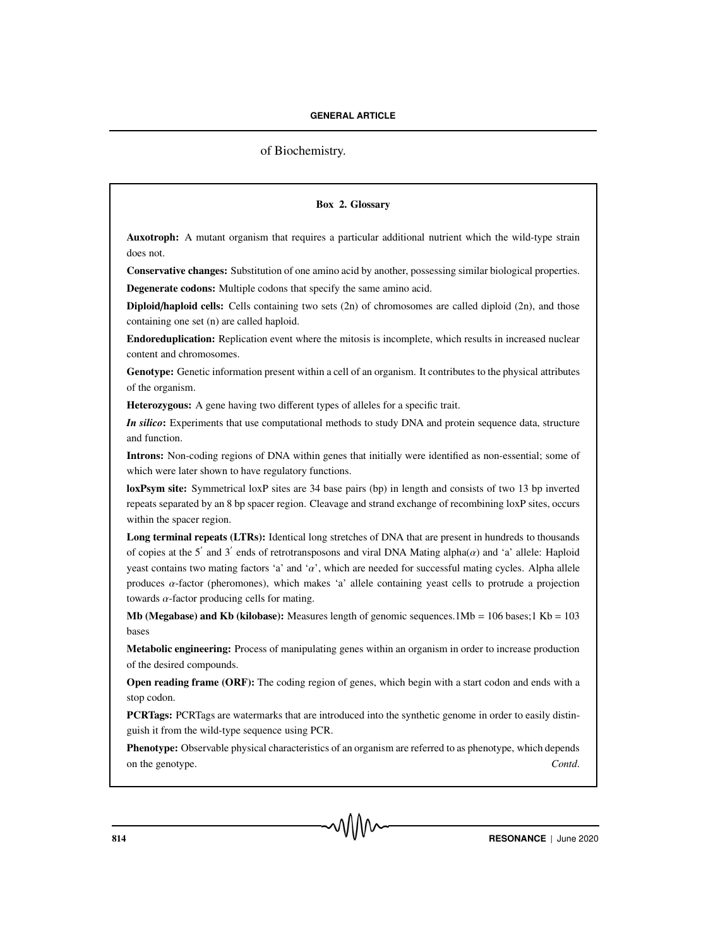## of Biochemistry.

## Box 2. Glossary

Auxotroph: A mutant organism that requires a particular additional nutrient which the wild-type strain does not.

Conservative changes: Substitution of one amino acid by another, possessing similar biological properties. Degenerate codons: Multiple codons that specify the same amino acid.

Diploid/haploid cells: Cells containing two sets (2n) of chromosomes are called diploid (2n), and those containing one set (n) are called haploid.

Endoreduplication: Replication event where the mitosis is incomplete, which results in increased nuclear content and chromosomes.

Genotype: Genetic information present within a cell of an organism. It contributes to the physical attributes of the organism.

Heterozygous: A gene having two different types of alleles for a specific trait.

*In silico*: Experiments that use computational methods to study DNA and protein sequence data, structure and function.

Introns: Non-coding regions of DNA within genes that initially were identified as non-essential; some of which were later shown to have regulatory functions.

loxPsym site: Symmetrical loxP sites are 34 base pairs (bp) in length and consists of two 13 bp inverted repeats separated by an 8 bp spacer region. Cleavage and strand exchange of recombining loxP sites, occurs within the spacer region.

Long terminal repeats (LTRs): Identical long stretches of DNA that are present in hundreds to thousands of copies at the 5' and 3' ends of retrotransposons and viral DNA Mating alpha $\alpha$ ) and 'a' allele: Haploid yeast contains two mating factors 'a' and ' $\alpha$ ', which are needed for successful mating cycles. Alpha allele produces  $\alpha$ -factor (pheromones), which makes 'a' allele containing yeast cells to protrude a projection towards  $\alpha$ -factor producing cells for mating.

Mb (Megabase) and Kb (kilobase): Measures length of genomic sequences.1Mb =  $106$  bases;1 Kb =  $103$ bases

Metabolic engineering: Process of manipulating genes within an organism in order to increase production of the desired compounds.

Open reading frame (ORF): The coding region of genes, which begin with a start codon and ends with a stop codon.

PCRTags: PCRTags are watermarks that are introduced into the synthetic genome in order to easily distinguish it from the wild-type sequence using PCR.

Phenotype: Observable physical characteristics of an organism are referred to as phenotype, which depends on the genotype. *Contd*.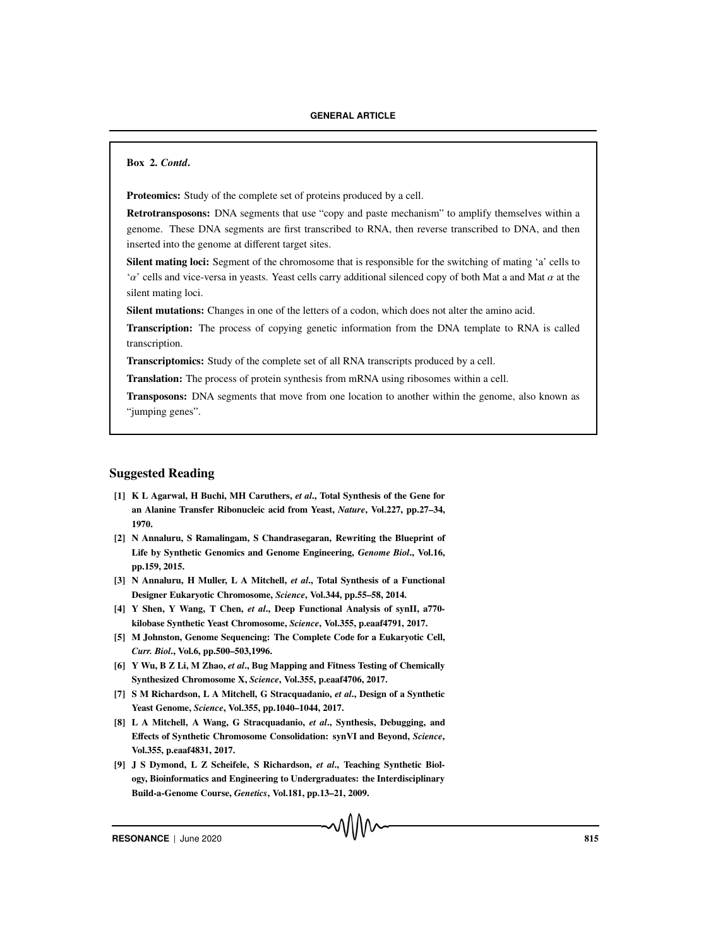Box 2. *Contd*.

Proteomics: Study of the complete set of proteins produced by a cell.

Retrotransposons: DNA segments that use "copy and paste mechanism" to amplify themselves within a genome. These DNA segments are first transcribed to RNA, then reverse transcribed to DNA, and then inserted into the genome at different target sites.

Silent mating loci: Segment of the chromosome that is responsible for the switching of mating 'a' cells to ' $\alpha$ ' cells and vice-versa in yeasts. Yeast cells carry additional silenced copy of both Mat a and Mat  $\alpha$  at the silent mating loci.

Silent mutations: Changes in one of the letters of a codon, which does not alter the amino acid.

**Transcription:** The process of copying genetic information from the DNA template to RNA is called transcription.

Transcriptomics: Study of the complete set of all RNA transcripts produced by a cell.

Translation: The process of protein synthesis from mRNA using ribosomes within a cell.

Transposons: DNA segments that move from one location to another within the genome, also known as "jumping genes".

## Suggested Reading

- [1] K L Agarwal, H Buchi, MH Caruthers, *et al*., Total Synthesis of the Gene for an Alanine Transfer Ribonucleic acid from Yeast, *Nature*, Vol.227, pp.27–34, 1970.
- [2] N Annaluru, S Ramalingam, S Chandrasegaran, Rewriting the Blueprint of Life by Synthetic Genomics and Genome Engineering, *Genome Biol*., Vol.16, pp.159, 2015.
- [3] N Annaluru, H Muller, L A Mitchell, *et al*., Total Synthesis of a Functional Designer Eukaryotic Chromosome, *Science*, Vol.344, pp.55–58, 2014.
- [4] Y Shen, Y Wang, T Chen, *et al*., Deep Functional Analysis of synII, a770 kilobase Synthetic Yeast Chromosome, *Science*, Vol.355, p.eaaf4791, 2017.
- [5] M Johnston, Genome Sequencing: The Complete Code for a Eukaryotic Cell, *Curr. Biol*., Vol.6, pp.500–503,1996.
- [6] Y Wu, B Z Li, M Zhao, *et al*., Bug Mapping and Fitness Testing of Chemically Synthesized Chromosome X, *Science*, Vol.355, p.eaaf4706, 2017.
- [7] S M Richardson, L A Mitchell, G Stracquadanio, *et al*., Design of a Synthetic Yeast Genome, *Science*, Vol.355, pp.1040–1044, 2017.
- [8] L A Mitchell, A Wang, G Stracquadanio, *et al*., Synthesis, Debugging, and Effects of Synthetic Chromosome Consolidation: synVI and Beyond, *Science*, Vol.355, p.eaaf4831, 2017.
- [9] J S Dymond, L Z Scheifele, S Richardson, *et al*., Teaching Synthetic Biology, Bioinformatics and Engineering to Undergraduates: the Interdisciplinary Build-a-Genome Course, *Genetics*, Vol.181, pp.13–21, 2009.